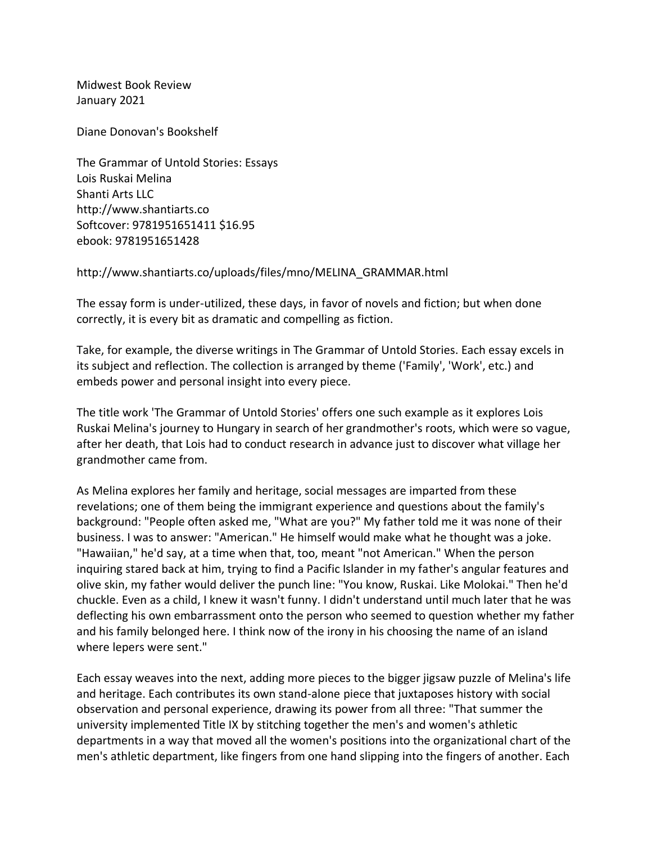Midwest Book Review January 2021

Diane Donovan's Bookshelf

The Grammar of Untold Stories: Essays Lois Ruskai Melina Shanti Arts LLC http://www.shantiarts.co Softcover: 9781951651411 \$16.95 ebook: 9781951651428

## http://www.shantiarts.co/uploads/files/mno/MELINA\_GRAMMAR.html

The essay form is under-utilized, these days, in favor of novels and fiction; but when done correctly, it is every bit as dramatic and compelling as fiction.

Take, for example, the diverse writings in The Grammar of Untold Stories. Each essay excels in its subject and reflection. The collection is arranged by theme ('Family', 'Work', etc.) and embeds power and personal insight into every piece.

The title work 'The Grammar of Untold Stories' offers one such example as it explores Lois Ruskai Melina's journey to Hungary in search of her grandmother's roots, which were so vague, after her death, that Lois had to conduct research in advance just to discover what village her grandmother came from.

As Melina explores her family and heritage, social messages are imparted from these revelations; one of them being the immigrant experience and questions about the family's background: "People often asked me, "What are you?" My father told me it was none of their business. I was to answer: "American." He himself would make what he thought was a joke. "Hawaiian," he'd say, at a time when that, too, meant "not American." When the person inquiring stared back at him, trying to find a Pacific Islander in my father's angular features and olive skin, my father would deliver the punch line: "You know, Ruskai. Like Molokai." Then he'd chuckle. Even as a child, I knew it wasn't funny. I didn't understand until much later that he was deflecting his own embarrassment onto the person who seemed to question whether my father and his family belonged here. I think now of the irony in his choosing the name of an island where lepers were sent."

Each essay weaves into the next, adding more pieces to the bigger jigsaw puzzle of Melina's life and heritage. Each contributes its own stand-alone piece that juxtaposes history with social observation and personal experience, drawing its power from all three: "That summer the university implemented Title IX by stitching together the men's and women's athletic departments in a way that moved all the women's positions into the organizational chart of the men's athletic department, like fingers from one hand slipping into the fingers of another. Each